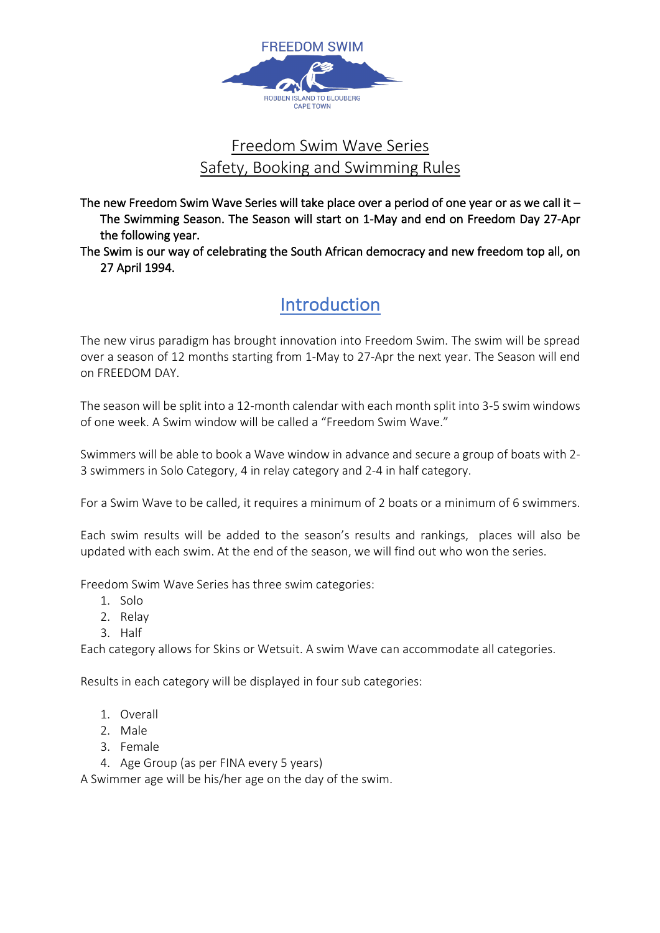

### Freedom Swim Wave Series Safety, Booking and Swimming Rules

The new Freedom Swim Wave Series will take place over a period of one year or as we call it -The Swimming Season. The Season will start on 1-May and end on Freedom Day 27-Apr the following year.

The Swim is our way of celebrating the South African democracy and new freedom top all, on 27 April 1994.

# Introduction

The new virus paradigm has brought innovation into Freedom Swim. The swim will be spread over a season of 12 months starting from 1-May to 27-Apr the next year. The Season will end on FREEDOM DAY.

The season will be split into a 12-month calendar with each month split into 3-5 swim windows of one week. A Swim window will be called a "Freedom Swim Wave."

Swimmers will be able to book a Wave window in advance and secure a group of boats with 2- 3 swimmers in Solo Category, 4 in relay category and 2-4 in half category.

For a Swim Wave to be called, it requires a minimum of 2 boats or a minimum of 6 swimmers.

Each swim results will be added to the season's results and rankings, places will also be updated with each swim. At the end of the season, we will find out who won the series.

Freedom Swim Wave Series has three swim categories:

- 1. Solo
- 2. Relay
- 3. Half

Each category allows for Skins or Wetsuit. A swim Wave can accommodate all categories.

Results in each category will be displayed in four sub categories:

- 1. Overall
- 2. Male
- 3. Female
- 4. Age Group (as per FINA every 5 years)

A Swimmer age will be his/her age on the day of the swim.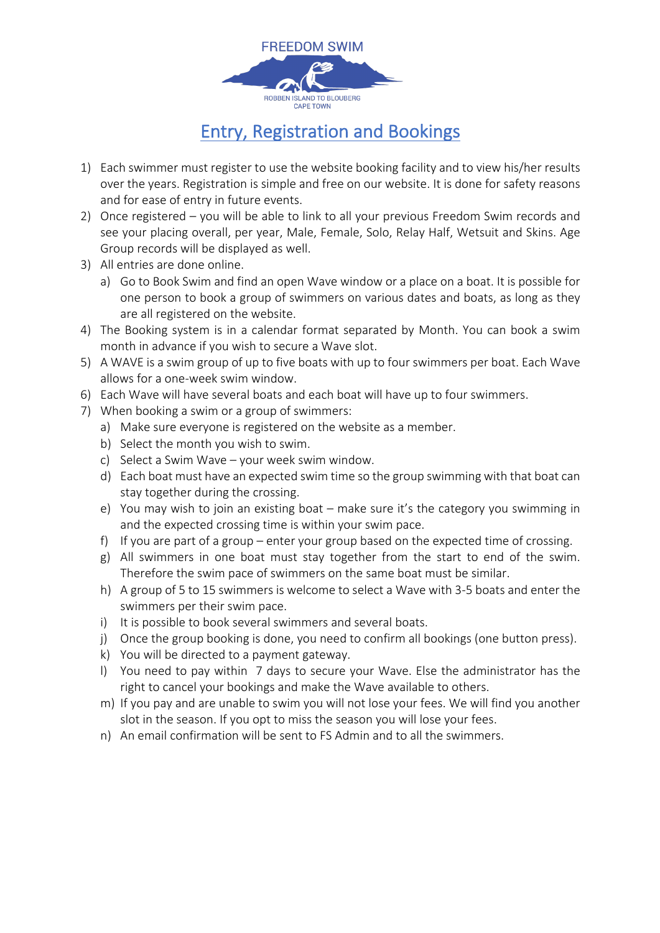

# Entry, Registration and Bookings

- 1) Each swimmer must register to use the website booking facility and to view his/her results over the years. Registration is simple and free on our website. It is done for safety reasons and for ease of entry in future events.
- 2) Once registered you will be able to link to all your previous Freedom Swim records and see your placing overall, per year, Male, Female, Solo, Relay Half, Wetsuit and Skins. Age Group records will be displayed as well.
- 3) All entries are done online.
	- a) Go to Book Swim and find an open Wave window or a place on a boat. It is possible for one person to book a group of swimmers on various dates and boats, as long as they are all registered on the website.
- 4) The Booking system is in a calendar format separated by Month. You can book a swim month in advance if you wish to secure a Wave slot.
- 5) A WAVE is a swim group of up to five boats with up to four swimmers per boat. Each Wave allows for a one-week swim window.
- 6) Each Wave will have several boats and each boat will have up to four swimmers.
- 7) When booking a swim or a group of swimmers:
	- a) Make sure everyone is registered on the website as a member.
	- b) Select the month you wish to swim.
	- c) Select a Swim Wave your week swim window.
	- d) Each boat must have an expected swim time so the group swimming with that boat can stay together during the crossing.
	- e) You may wish to join an existing boat make sure it's the category you swimming in and the expected crossing time is within your swim pace.
	- f) If you are part of a group enter your group based on the expected time of crossing.
	- g) All swimmers in one boat must stay together from the start to end of the swim. Therefore the swim pace of swimmers on the same boat must be similar.
	- h) A group of 5 to 15 swimmers is welcome to select a Wave with 3-5 boats and enter the swimmers per their swim pace.
	- i) It is possible to book several swimmers and several boats.
	- j) Once the group booking is done, you need to confirm all bookings (one button press).
	- k) You will be directed to a payment gateway.
	- l) You need to pay within 7 days to secure your Wave. Else the administrator has the right to cancel your bookings and make the Wave available to others.
	- m) If you pay and are unable to swim you will not lose your fees. We will find you another slot in the season. If you opt to miss the season you will lose your fees.
	- n) An email confirmation will be sent to FS Admin and to all the swimmers.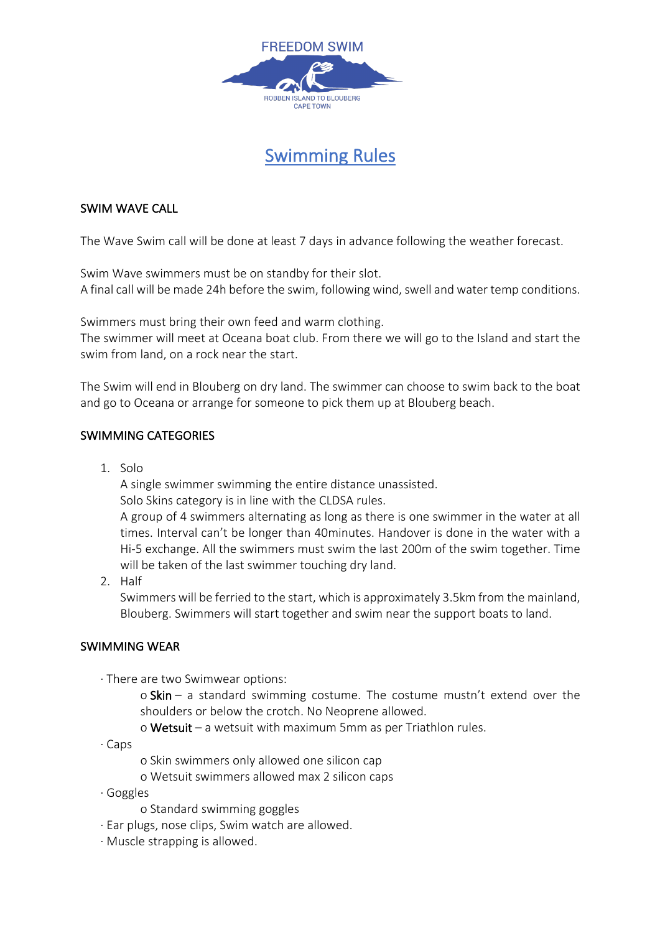

## Swimming Rules

#### SWIM WAVE CALL

The Wave Swim call will be done at least 7 days in advance following the weather forecast.

Swim Wave swimmers must be on standby for their slot. A final call will be made 24h before the swim, following wind, swell and water temp conditions.

Swimmers must bring their own feed and warm clothing.

The swimmer will meet at Oceana boat club. From there we will go to the Island and start the swim from land, on a rock near the start.

The Swim will end in Blouberg on dry land. The swimmer can choose to swim back to the boat and go to Oceana or arrange for someone to pick them up at Blouberg beach.

#### SWIMMING CATEGORIES

1. Solo

A single swimmer swimming the entire distance unassisted. Solo Skins category is in line with the CLDSA rules.

A group of 4 swimmers alternating as long as there is one swimmer in the water at all times. Interval can't be longer than 40minutes. Handover is done in the water with a Hi-5 exchange. All the swimmers must swim the last 200m of the swim together. Time will be taken of the last swimmer touching dry land.

2. Half

Swimmers will be ferried to the start, which is approximately 3.5km from the mainland, Blouberg. Swimmers will start together and swim near the support boats to land.

#### SWIMMING WEAR

· There are two Swimwear options:

o Skin – a standard swimming costume. The costume mustn't extend over the shoulders or below the crotch. No Neoprene allowed.

o Wetsuit – a wetsuit with maximum 5mm as per Triathlon rules.

· Caps

o Skin swimmers only allowed one silicon cap

- o Wetsuit swimmers allowed max 2 silicon caps
- · Goggles

o Standard swimming goggles

- · Ear plugs, nose clips, Swim watch are allowed.
- · Muscle strapping is allowed.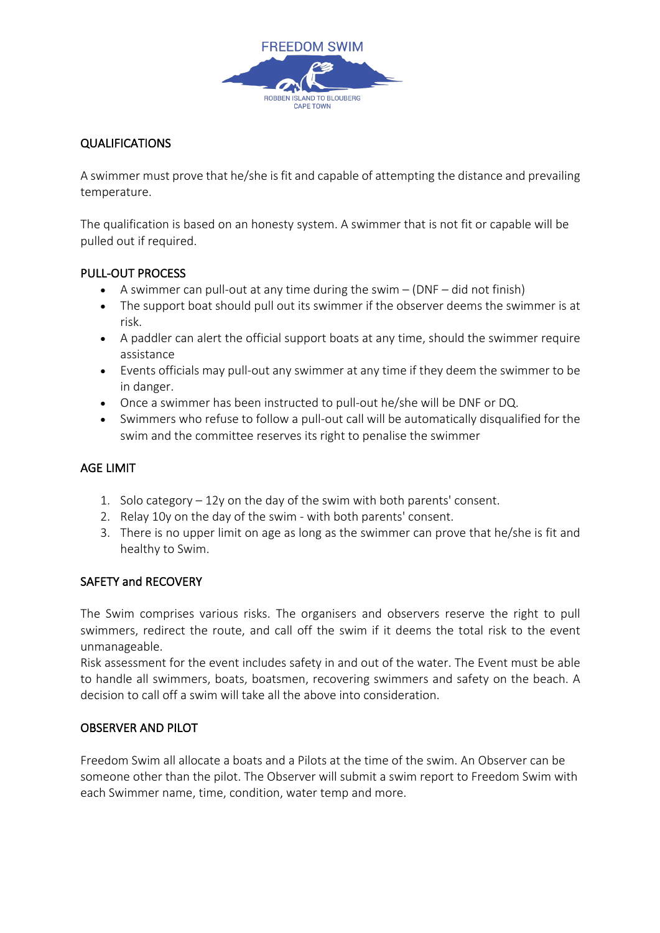

#### QUALIFICATIONS

A swimmer must prove that he/she is fit and capable of attempting the distance and prevailing temperature.

The qualification is based on an honesty system. A swimmer that is not fit or capable will be pulled out if required.

#### PULL-OUT PROCESS

- A swimmer can pull-out at any time during the swim  $-$  (DNF  $-$  did not finish)
- The support boat should pull out its swimmer if the observer deems the swimmer is at risk.
- A paddler can alert the official support boats at any time, should the swimmer require assistance
- Events officials may pull-out any swimmer at any time if they deem the swimmer to be in danger.
- Once a swimmer has been instructed to pull-out he/she will be DNF or DQ.
- Swimmers who refuse to follow a pull-out call will be automatically disqualified for the swim and the committee reserves its right to penalise the swimmer

#### AGE LIMIT

- 1. Solo category 12y on the day of the swim with both parents' consent.
- 2. Relay 10y on the day of the swim with both parents' consent.
- 3. There is no upper limit on age as long as the swimmer can prove that he/she is fit and healthy to Swim.

#### SAFETY and RECOVERY

The Swim comprises various risks. The organisers and observers reserve the right to pull swimmers, redirect the route, and call off the swim if it deems the total risk to the event unmanageable.

Risk assessment for the event includes safety in and out of the water. The Event must be able to handle all swimmers, boats, boatsmen, recovering swimmers and safety on the beach. A decision to call off a swim will take all the above into consideration.

#### OBSERVER AND PILOT

Freedom Swim all allocate a boats and a Pilots at the time of the swim. An Observer can be someone other than the pilot. The Observer will submit a swim report to Freedom Swim with each Swimmer name, time, condition, water temp and more.